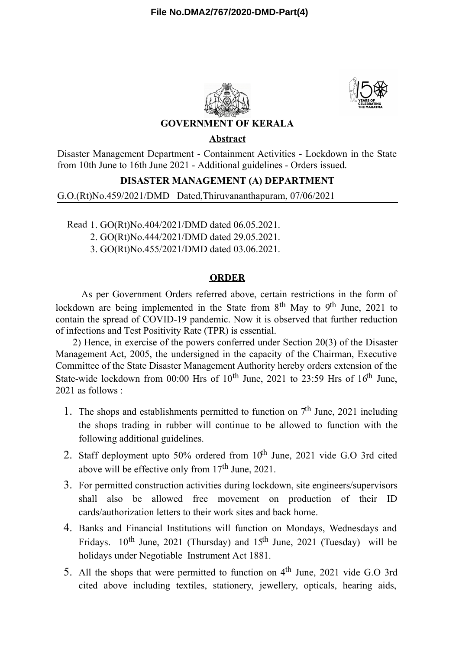



## **GOVERNMENT OF KERALA**

## **Abstract**

Disaster Management Department - Containment Activities - Lockdown in the State from 10th June to 16th June 2021 - Additional guidelines - Orders issued.

# **DISASTER MANAGEMENT (A) DEPARTMENT**

G.O.(Rt)No.459/2021/DMD Dated,Thiruvananthapuram, 07/06/2021

Read 1. GO(Rt)No.404/2021/DMD dated 06.05.2021.

2. GO(Rt)No.444/2021/DMD dated 29.05.2021.

3. GO(Rt)No.455/2021/DMD dated 03.06.2021.

### **ORDER**

As per Government Orders referred above, certain restrictions in the form of lockdown are being implemented in the State from  $8<sup>th</sup>$  May to  $9<sup>th</sup>$  June, 2021 to contain the spread of COVID-19 pandemic. Now it is observed that further reduction of infections and Test Positivity Rate (TPR) is essential.

2) Hence, in exercise of the powers conferred under Section 20(3) of the Disaster Management Act, 2005, the undersigned in the capacity of the Chairman, Executive Committee of the State Disaster Management Authority hereby orders extension of the State-wide lockdown from 00:00 Hrs of  $10^{th}$  June, 2021 to 23:59 Hrs of  $16^{th}$  June, 2021 as follows :

- 1. The shops and establishments permitted to function on  $7<sup>th</sup>$  June, 2021 including the shops trading in rubber will continue to be allowed to function with the following additional guidelines.
- 2. Staff deployment upto 50% ordered from  $10^{th}$  June, 2021 vide G.O 3rd cited above will be effective only from 17<sup>th</sup> June, 2021.
- 3. For permitted construction activities during lockdown, site engineers/supervisors shall also be allowed free movement on production of their ID cards/authorization letters to their work sites and back home.
- 4. Banks and Financial Institutions will function on Mondays, Wednesdays and Fridays.  $10^{th}$  June, 2021 (Thursday) and  $15^{th}$  June, 2021 (Tuesday) will be holidays under Negotiable Instrument Act 1881.
- 5. All the shops that were permitted to function on  $4<sup>th</sup>$  June, 2021 vide G.O 3rd cited above including textiles, stationery, jewellery, opticals, hearing aids,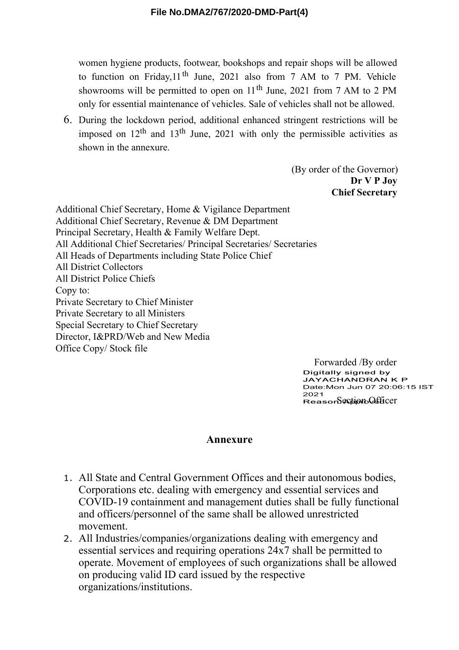women hygiene products, footwear, bookshops and repair shops will be allowed to function on Friday, 11<sup>th</sup> June, 2021 also from 7 AM to 7 PM. Vehicle showrooms will be permitted to open on  $11<sup>th</sup>$  June, 2021 from 7 AM to 2 PM only for essential maintenance of vehicles. Sale of vehicles shall not be allowed.

6. During the lockdown period, additional enhanced stringent restrictions will be imposed on  $12<sup>th</sup>$  and  $13<sup>th</sup>$  June, 2021 with only the permissible activities as shown in the annexure.

> (By order of the Governor) **Dr V P Joy Chief Secretary**

Additional Chief Secretary, Home & Vigilance Department Additional Chief Secretary, Revenue & DM Department Principal Secretary, Health & Family Welfare Dept. All Additional Chief Secretaries/ Principal Secretaries/ Secretaries All Heads of Departments including State Police Chief All District Collectors All District Police Chiefs Copy to: Private Secretary to Chief Minister Private Secretary to all Ministers Special Secretary to Chief Secretary Director, I&PRD/Web and New Media Office Copy/ Stock file

> Forwarded /By order Digitally signed by JAYACHANDRAN K P Date:Mon Jun 07 20:06:15 IST 2021  $Reses$   $S$  $C$  $S$  $D$  $D$  $D$  $S$  $C$  $E$  $D$  $C$  $E$  $D$  $C$  $F$  $T$

### **Annexure**

- 1. All State and Central Government Offices and their autonomous bodies, Corporations etc. dealing with emergency and essential services and COVID-19 containment and management duties shall be fully functional and officers/personnel of the same shall be allowed unrestricted movement.
- 2. All Industries/companies/organizations dealing with emergency and essential services and requiring operations 24x7 shall be permitted to operate. Movement of employees of such organizations shall be allowed on producing valid ID card issued by the respective organizations/institutions.